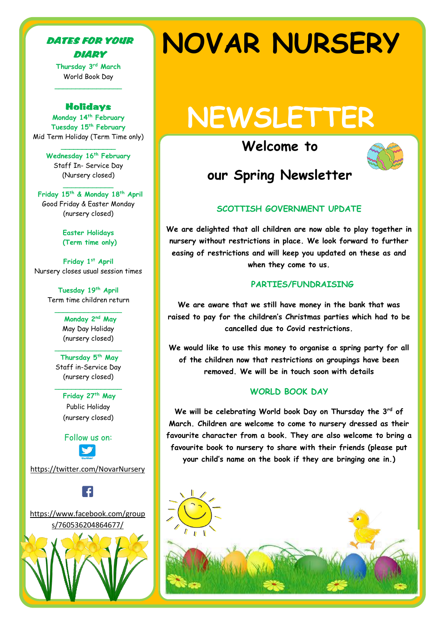# DATES FOR YOUR DIARY

**Thursday 3rd March** World Book Day \_\_\_\_\_\_\_\_\_\_\_\_\_\_\_\_

#### Holidays

**Monday 14th February Tuesday 15th February** Mid Term Holiday (Term Time only)

> **Wednesday 16th February** Staff In- Service Day (Nursery closed)

> > $\overline{\phantom{a}}$

**\_\_\_\_\_\_\_\_\_\_\_\_\_**

**Friday 15th & Monday 18th April** Good Friday & Easter Monday (nursery closed)

> **Easter Holidays (Term time only)**

**Friday 1st April** Nursery closes usual session times

> **Tuesday 19th April**  Term time children return \_\_\_\_\_\_\_\_\_\_\_\_\_\_\_\_

> > **Monday 2nd May** May Day Holiday (nursery closed)

**Thursday 5 th May** Staff in-Service Day (nursery closed)

\_\_\_\_\_\_\_\_\_\_\_\_\_\_\_\_

\_\_\_\_\_\_\_\_\_\_\_\_\_\_\_\_

**Friday 27th May** Public Holiday (nursery closed)

Follow us on:

<https://twitter.com/NovarNursery>

E

[https://www.facebook.com/group](https://www.facebook.com/groups/760536204864677/) [s/760536204864677/](https://www.facebook.com/groups/760536204864677/)

# **NOVAR NURSERY**

# Autumn 2021 **NEWSLETTER**

# **Welcome to**



# **our Spring Newsletter**

### **SCOTTISH GOVERNMENT UPDATE**

**We are delighted that all children are now able to play together in nursery without restrictions in place. We look forward to further easing of restrictions and will keep you updated on these as and when they come to us.**

# **PARTIES/FUNDRAISING**

**We are aware that we still have money in the bank that was raised to pay for the children's Christmas parties which had to be cancelled due to Covid restrictions.** 

**We would like to use this money to organise a spring party for all of the children now that restrictions on groupings have been removed. We will be in touch soon with details**

## **WORLD BOOK DAY**

**We will be celebrating World book Day on Thursday the 3rd of March. Children are welcome to come to nursery dressed as their favourite character from a book. They are also welcome to bring a favourite book to nursery to share with their friends (please put your child's name on the book if they are bringing one in.)**